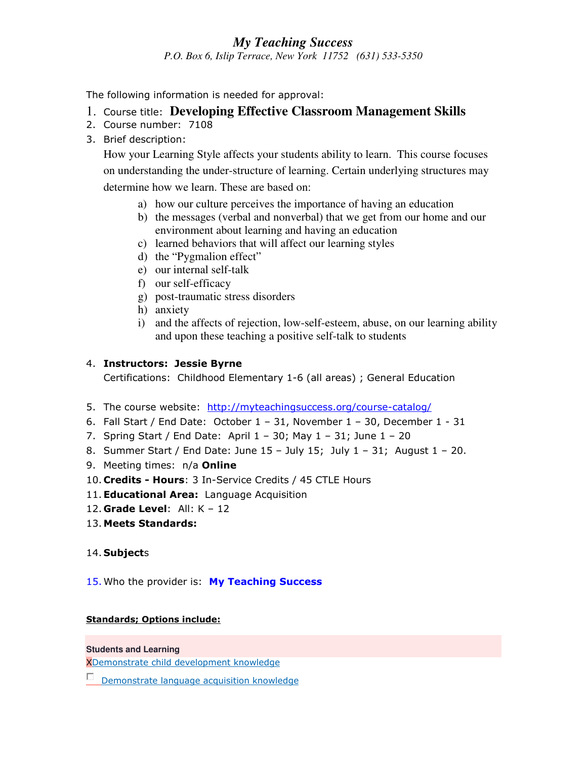# *My Teaching Success*

*P.O. Box 6, Islip Terrace, New York 11752 (631) 533-5350*

The following information is needed for approval:

- 1. Course title: **Developing Effective Classroom Management Skills**
- 2. Course number: 7108
- 3. Brief description:

How your Learning Style affects your students ability to learn. This course focuses on understanding the under-structure of learning. Certain underlying structures may determine how we learn. These are based on:

- a) how our culture perceives the importance of having an education
- b) the messages (verbal and nonverbal) that we get from our home and our environment about learning and having an education
- c) learned behaviors that will affect our learning styles
- d) the "Pygmalion effect"
- e) our internal self-talk
- f) our self-efficacy
- g) post-traumatic stress disorders
- h) anxiety
- i) and the affects of rejection, low-self-esteem, abuse, on our learning ability and upon these teaching a positive self-talk to students

## 4. **Instructors: Jessie Byrne**

Certifications: Childhood Elementary 1-6 (all areas) ; General Education

- 5. The course website: http://myteachingsuccess.org/course-catalog/
- 6. Fall Start / End Date: October 1 31, November 1 30, December 1 31
- 7. Spring Start / End Date: April 1 30; May 1 31; June 1 20
- 8. Summer Start / End Date: June  $15 -$  July  $15$ ; July  $1 31$ ; August  $1 20$ .
- 9. Meeting times: n/a **Online**
- 10. **Credits Hours**: 3 In-Service Credits / 45 CTLE Hours
- 11.**Educational Area:** Language Acquisition
- 12. **Grade Level**: All: K 12
- 13. **Meets Standards:**

## 14. **Subject**s

15. Who the provider is: **My Teaching Success**

## **Standards; Options include:**

#### **Students and Learning**

XDemonstrate child development knowledge

Demonstrate language acquisition knowledge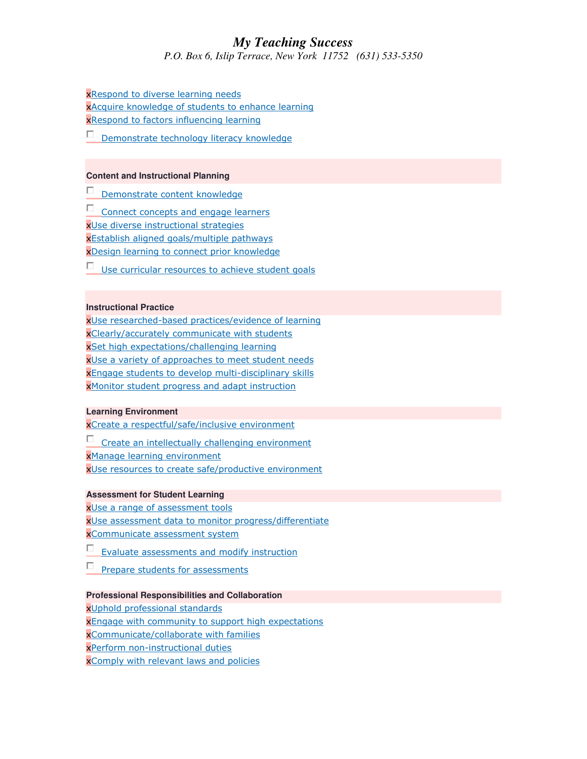# *My Teaching Success*

*P.O. Box 6, Islip Terrace, New York 11752 (631) 533-5350*

xRespond to diverse learning needs xAcquire knowledge of students to enhance learning xRespond to factors influencing learning

Demonstrate technology literacy knowledge

#### **Content and Instructional Planning**

Demonstrate content knowledge

П. Connect concepts and engage learners xUse diverse instructional strategies xEstablish aligned goals/multiple pathways xDesign learning to connect prior knowledge

П. Use curricular resources to achieve student goals

#### **Instructional Practice**

xUse researched-based practices/evidence of learning xClearly/accurately communicate with students xSet high expectations/challenging learning xUse a variety of approaches to meet student needs xEngage students to develop multi-disciplinary skills xMonitor student progress and adapt instruction

#### **Learning Environment**

xCreate a respectful/safe/inclusive environment

Create an intellectually challenging environment

xManage learning environment

xUse resources to create safe/productive environment

#### **Assessment for Student Learning**

xUse a range of assessment tools xUse assessment data to monitor progress/differentiate xCommunicate assessment system

Evaluate assessments and modify instruction

П Prepare students for assessments

#### **Professional Responsibilities and Collaboration**

xUphold professional standards **x**Engage with community to support high expectations xCommunicate/collaborate with families xPerform non-instructional duties xComply with relevant laws and policies